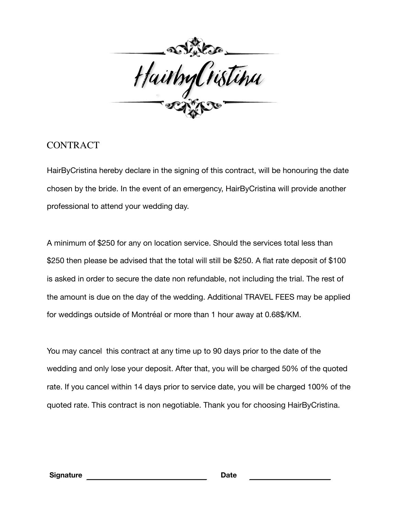

## **CONTRACT**

HairByCristina hereby declare in the signing of this contract, will be honouring the date chosen by the bride. In the event of an emergency, HairByCristina will provide another professional to attend your wedding day.

A minimum of \$250 for any on location service. Should the services total less than \$250 then please be advised that the total will still be \$250. A flat rate deposit of \$100 is asked in order to secure the date non refundable, not including the trial. The rest of the amount is due on the day of the wedding. Additional TRAVEL FEES may be applied for weddings outside of Montréal or more than 1 hour away at 0.68\$/KM.

You may cancel this contract at any time up to 90 days prior to the date of the wedding and only lose your deposit. After that, you will be charged 50% of the quoted rate. If you cancel within 14 days prior to service date, you will be charged 100% of the quoted rate. This contract is non negotiable. Thank you for choosing HairByCristina.